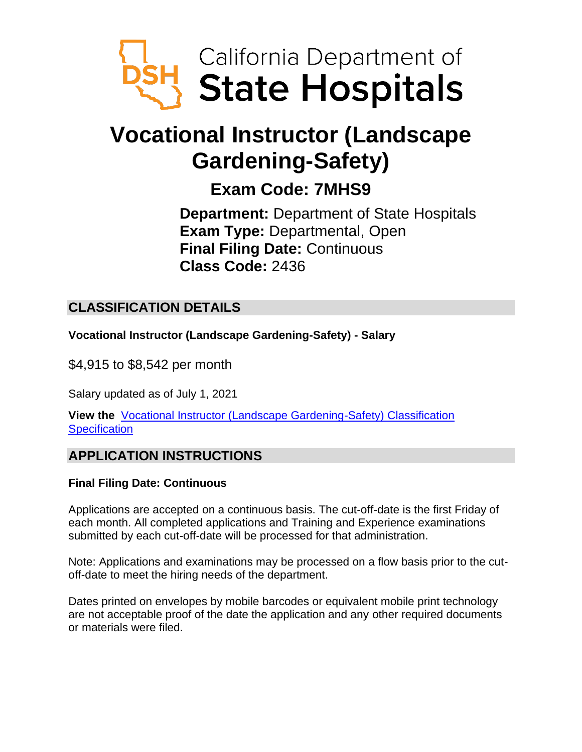

# **Vocational Instructor (Landscape Gardening-Safety)**

## **Exam Code: 7MHS9**

**Department:** Department of State Hospitals **Exam Type:** Departmental, Open **Final Filing Date:** Continuous **Class Code:** 2436

## **CLASSIFICATION DETAILS**

**Vocational Instructor (Landscape Gardening-Safety) - Salary**

\$4,915 to \$8,542 per month

Salary updated as of July 1, 2021

**View the** [Vocational Instructor \(Landscape Gardening-Safety\) Classification](https://www.calhr.ca.gov/state-hr-professionals/Pages/7593.aspx)  **[Specification](https://www.calhr.ca.gov/state-hr-professionals/Pages/7593.aspx)** 

## **APPLICATION INSTRUCTIONS**

#### **Final Filing Date: Continuous**

Applications are accepted on a continuous basis. The cut-off-date is the first Friday of each month. All completed applications and Training and Experience examinations submitted by each cut-off-date will be processed for that administration.

Note: Applications and examinations may be processed on a flow basis prior to the cutoff-date to meet the hiring needs of the department.

Dates printed on envelopes by mobile barcodes or equivalent mobile print technology are not acceptable proof of the date the application and any other required documents or materials were filed.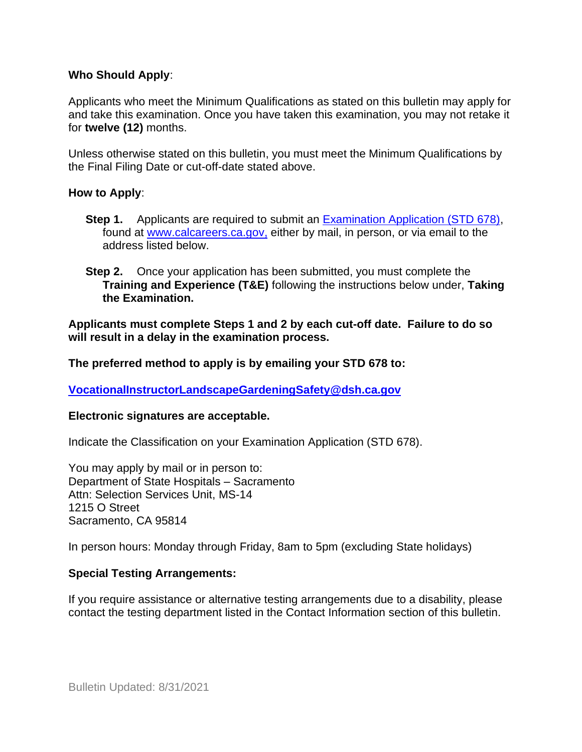#### **Who Should Apply**:

Applicants who meet the Minimum Qualifications as stated on this bulletin may apply for and take this examination. Once you have taken this examination, you may not retake it for **twelve (12)** months.

Unless otherwise stated on this bulletin, you must meet the Minimum Qualifications by the Final Filing Date or cut-off-date stated above.

#### **How to Apply**:

- **Step 1.** Applicants are required to submit an [Examination Application \(STD 678\),](https://jobs.ca.gov/pdf/std678.pdf) found at [www.calcareers.ca.gov,](http://www.calcareers.ca.gov/) either by mail, in person, or via email to the address listed below.
- **Step 2.** Once your application has been submitted, you must complete the **Training and Experience (T&E)** following the instructions below under, **Taking the Examination.**

**Applicants must complete Steps 1 and 2 by each cut-off date. Failure to do so will result in a delay in the examination process.**

**The preferred method to apply is by emailing your STD 678 to:**

**[VocationalInstructorLandscapeGardeningSafety@dsh.ca.gov](mailto:VocationalInstructorLandscapeGardeningSafety@dsh.ca.gov)**

#### **Electronic signatures are acceptable.**

Indicate the Classification on your Examination Application (STD 678).

You may apply by mail or in person to: Department of State Hospitals – Sacramento Attn: Selection Services Unit, MS-14 1215 O Street Sacramento, CA 95814

In person hours: Monday through Friday, 8am to 5pm (excluding State holidays)

#### **Special Testing Arrangements:**

If you require assistance or alternative testing arrangements due to a disability, please contact the testing department listed in the Contact Information section of this bulletin.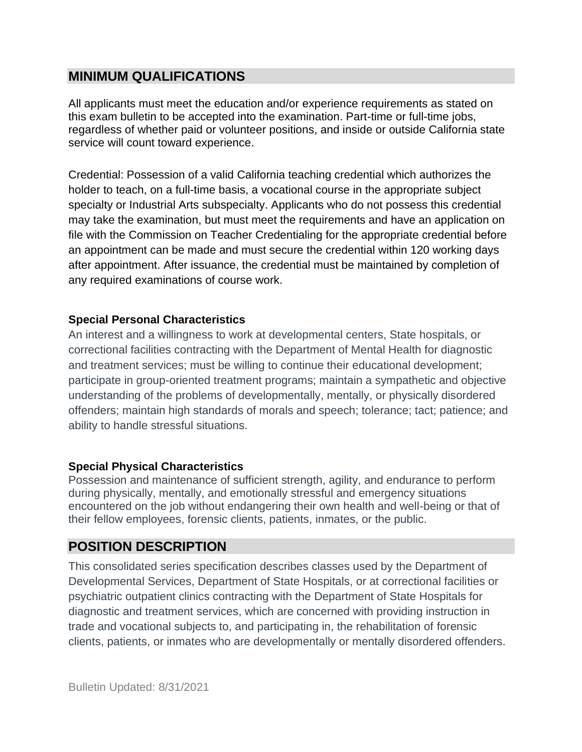## **MINIMUM QUALIFICATIONS**

All applicants must meet the education and/or experience requirements as stated on this exam bulletin to be accepted into the examination. Part-time or full-time jobs, regardless of whether paid or volunteer positions, and inside or outside California state service will count toward experience.

Credential: Possession of a valid California teaching credential which authorizes the holder to teach, on a full-time basis, a vocational course in the appropriate subject specialty or Industrial Arts subspecialty. Applicants who do not possess this credential may take the examination, but must meet the requirements and have an application on file with the Commission on Teacher Credentialing for the appropriate credential before an appointment can be made and must secure the credential within 120 working days after appointment. After issuance, the credential must be maintained by completion of any required examinations of course work.

#### **Special Personal Characteristics**

An interest and a willingness to work at developmental centers, State hospitals, or correctional facilities contracting with the Department of Mental Health for diagnostic and treatment services; must be willing to continue their educational development; participate in group-oriented treatment programs; maintain a sympathetic and objective understanding of the problems of developmentally, mentally, or physically disordered offenders; maintain high standards of morals and speech; tolerance; tact; patience; and ability to handle stressful situations.

#### **Special Physical Characteristics**

Possession and maintenance of sufficient strength, agility, and endurance to perform during physically, mentally, and emotionally stressful and emergency situations encountered on the job without endangering their own health and well-being or that of their fellow employees, forensic clients, patients, inmates, or the public.

### **POSITION DESCRIPTION**

This consolidated series specification describes classes used by the Department of Developmental Services, Department of State Hospitals, or at correctional facilities or psychiatric outpatient clinics contracting with the Department of State Hospitals for diagnostic and treatment services, which are concerned with providing instruction in trade and vocational subjects to, and participating in, the rehabilitation of forensic clients, patients, or inmates who are developmentally or mentally disordered offenders.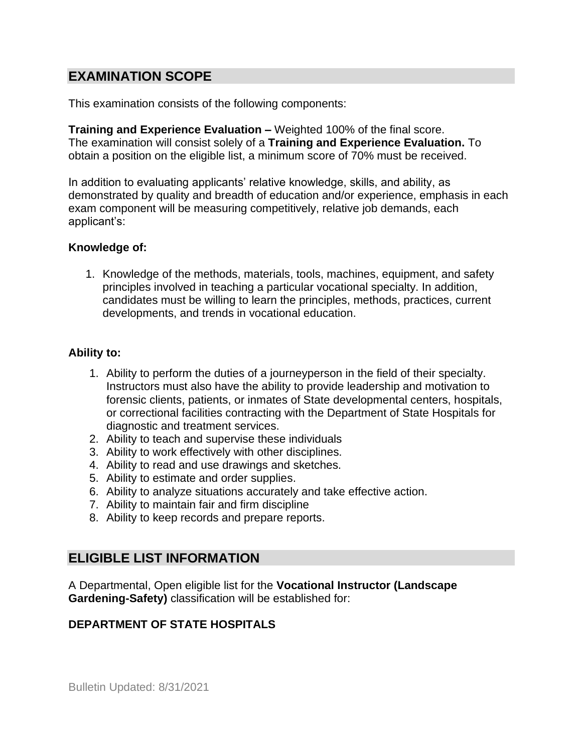## **EXAMINATION SCOPE**

This examination consists of the following components:

**Training and Experience Evaluation –** Weighted 100% of the final score. The examination will consist solely of a **Training and Experience Evaluation.** To obtain a position on the eligible list, a minimum score of 70% must be received.

In addition to evaluating applicants' relative knowledge, skills, and ability, as demonstrated by quality and breadth of education and/or experience, emphasis in each exam component will be measuring competitively, relative job demands, each applicant's:

#### **Knowledge of:**

1. Knowledge of the methods, materials, tools, machines, equipment, and safety principles involved in teaching a particular vocational specialty. In addition, candidates must be willing to learn the principles, methods, practices, current developments, and trends in vocational education.

#### **Ability to:**

- 1. Ability to perform the duties of a journeyperson in the field of their specialty. Instructors must also have the ability to provide leadership and motivation to forensic clients, patients, or inmates of State developmental centers, hospitals, or correctional facilities contracting with the Department of State Hospitals for diagnostic and treatment services.
- 2. Ability to teach and supervise these individuals
- 3. Ability to work effectively with other disciplines.
- 4. Ability to read and use drawings and sketches.
- 5. Ability to estimate and order supplies.
- 6. Ability to analyze situations accurately and take effective action.
- 7. Ability to maintain fair and firm discipline
- 8. Ability to keep records and prepare reports.

### **ELIGIBLE LIST INFORMATION**

A Departmental, Open eligible list for the **Vocational Instructor (Landscape Gardening-Safety)** classification will be established for:

#### **DEPARTMENT OF STATE HOSPITALS**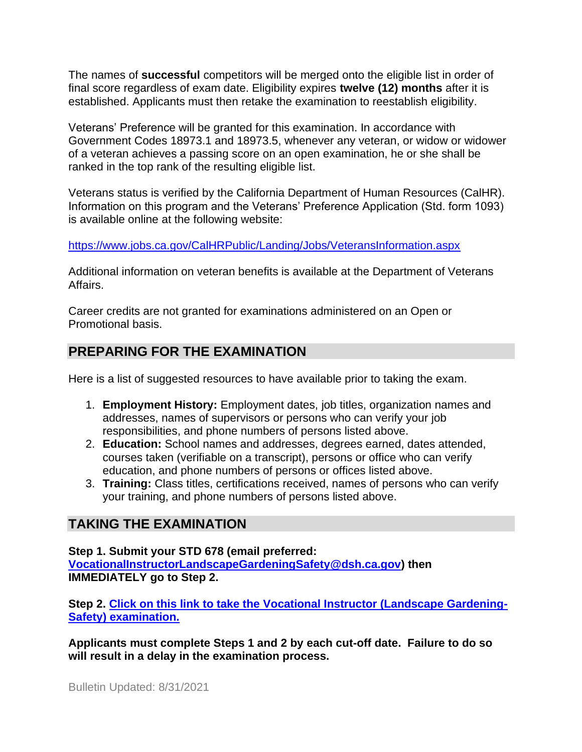The names of **successful** competitors will be merged onto the eligible list in order of final score regardless of exam date. Eligibility expires **twelve (12) months** after it is established. Applicants must then retake the examination to reestablish eligibility.

Veterans' Preference will be granted for this examination. In accordance with Government Codes 18973.1 and 18973.5, whenever any veteran, or widow or widower of a veteran achieves a passing score on an open examination, he or she shall be ranked in the top rank of the resulting eligible list.

Veterans status is verified by the California Department of Human Resources (CalHR). Information on this program and the Veterans' Preference Application (Std. form 1093) is available online at the following website:

<https://www.jobs.ca.gov/CalHRPublic/Landing/Jobs/VeteransInformation.aspx>

Additional information on veteran benefits is available at the Department of Veterans Affairs.

Career credits are not granted for examinations administered on an Open or Promotional basis.

## **PREPARING FOR THE EXAMINATION**

Here is a list of suggested resources to have available prior to taking the exam.

- 1. **Employment History:** Employment dates, job titles, organization names and addresses, names of supervisors or persons who can verify your job responsibilities, and phone numbers of persons listed above.
- 2. **Education:** School names and addresses, degrees earned, dates attended, courses taken (verifiable on a transcript), persons or office who can verify education, and phone numbers of persons or offices listed above.
- 3. **Training:** Class titles, certifications received, names of persons who can verify your training, and phone numbers of persons listed above.

## **TAKING THE EXAMINATION**

**Step 1. Submit your STD 678 (email preferred: [VocationalInstructorLandscapeGardeningSafety@dsh.ca.gov\)](mailto:VocationalInstructorLandscapeGardeningSafety@dsh.ca.gov) then IMMEDIATELY go to Step 2.**

**Step 2. [Click on this link to take the Vocational Instructor \(Landscape Gardening-](https://www.surveymonkey.com/r/WYQVVSM)[Safety\) examination.](https://www.surveymonkey.com/r/WYQVVSM)**

**Applicants must complete Steps 1 and 2 by each cut-off date. Failure to do so will result in a delay in the examination process.**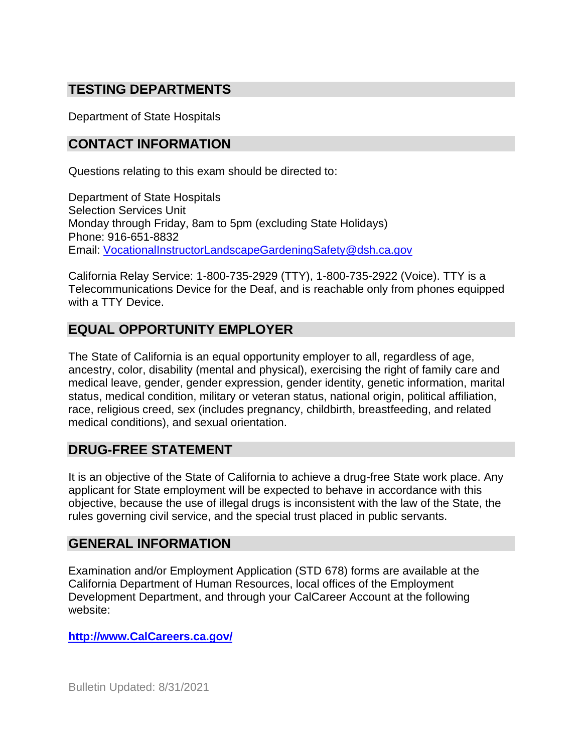## **TESTING DEPARTMENTS**

Department of State Hospitals

## **CONTACT INFORMATION**

Questions relating to this exam should be directed to:

Department of State Hospitals Selection Services Unit Monday through Friday, 8am to 5pm (excluding State Holidays) Phone: 916-651-8832 Email: [VocationalInstructorLandscapeGardeningSafety@dsh.ca.gov](mailto:VocationalInstructorLandscapeGardeningSafety@dsh.ca.gov)

California Relay Service: 1-800-735-2929 (TTY), 1-800-735-2922 (Voice). TTY is a Telecommunications Device for the Deaf, and is reachable only from phones equipped with a TTY Device.

## **EQUAL OPPORTUNITY EMPLOYER**

The State of California is an equal opportunity employer to all, regardless of age, ancestry, color, disability (mental and physical), exercising the right of family care and medical leave, gender, gender expression, gender identity, genetic information, marital status, medical condition, military or veteran status, national origin, political affiliation, race, religious creed, sex (includes pregnancy, childbirth, breastfeeding, and related medical conditions), and sexual orientation.

## **DRUG-FREE STATEMENT**

It is an objective of the State of California to achieve a drug-free State work place. Any applicant for State employment will be expected to behave in accordance with this objective, because the use of illegal drugs is inconsistent with the law of the State, the rules governing civil service, and the special trust placed in public servants.

#### **GENERAL INFORMATION**

Examination and/or Employment Application (STD 678) forms are available at the California Department of Human Resources, local offices of the Employment Development Department, and through your CalCareer Account at the following website:

**http://www.CalCareers.ca.gov/**

Bulletin Updated: 8/31/2021